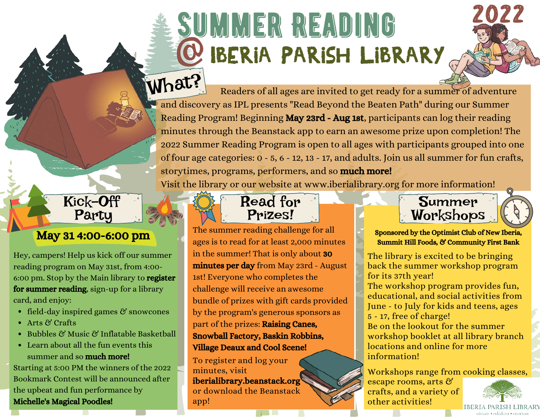# SUMMER READING @Iberia Parish Library

 $\text{W}\text{at?}$  Readers of all ages are invited to get ready for a summer of adventure and discovery as IPL presents "Read Beyond the Beaten Path" during our Summer Reading Program! Beginning May 23rd - Aug 1st, participants can log their reading minutes through the Beanstack app to earn an awesome prize upon completion! The 2022 Summer Reading Program is open to all ages with participants grouped into one of four age categories: 0 - 5, 6 - 12, 13 - 17, and adults. Join us all summer for fun crafts, storytimes, programs, performers, and so **much more!** 

Visit the library or our website at www.iberialibrary.org for more information!



Hey, campers! Help us kick off our summer reading program on May 31st, from 4:00- 6:00 pm. Stop by the Main library to register for summer reading, sign-up for a library card, and enjoy:

- field-day inspired games & snowcones
- Arts & Crafts
- Bubbles & Music & Inflatable Basketball
- Learn about all the fun events this summer and so **much more!**

Starting at 5:00 PM the winners of the 2022 Bookmark Contest will be announced after the upbeat and fun performance by Michelle's Magical Poodles!



May 31 4:00-6:00 pm ages is to read for at least 2,000 minutes in the summer! That is only about 30 minutes per day from May 23rd - August 1st! Everyone who completes the challenge will receive an awesome bundle of prizes with gift cards provided by the program's generous sponsors as part of the prizes: Raising Canes, Snowball Factory, Baskin Robbins, Village Deaux and Cool Scene!

> To register and log your minutes, visit iberialibrary.beanstack.org or download the Beanstack app!



Sponsored by the Optimist Club of New Iberia, Summit Hill Foods, & Community First Bank

The library is excited to be bringing back the summer workshop program for its 37th year!

The workshop program provides fun, educational, and social activities from June - to July for kids and teens, ages 5 - 17, free of charge!

Be on the lookout for the summer workshop booklet at all library branch locations and online for more information!

Workshops range from cooking classes,

escape rooms, arts & crafts, and a variety of other activities!